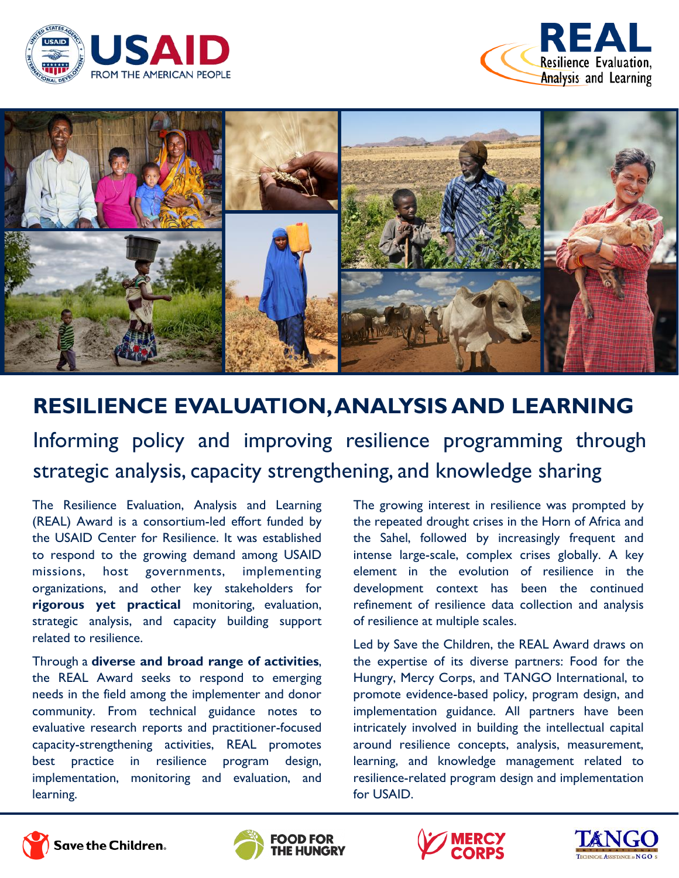





# **RESILIENCE EVALUATION, ANALYSIS AND LEARNING**

Informing policy and improving resilience programming through strategic analysis, capacity strengthening, and knowledge sharing

The Resilience Evaluation, Analysis and Learning (REAL) Award is a consortium-led effort funded by the USAID Center for Resilience. It was established to respond to the growing demand among USAID missions, host governments, implementing organizations, and other key stakeholders for **rigorous yet practical** monitoring, evaluation, strategic analysis, and capacity building support related to resilience.

Through a **diverse and broad range of activities**, the REAL Award seeks to respond to emerging needs in the field among the implementer and donor community. From technical guidance notes to evaluative research reports and practitioner-focused capacity-strengthening activities, REAL promotes best practice in resilience program design, implementation, monitoring and evaluation, and learning.

The growing interest in resilience was prompted by the repeated drought crises in the Horn of Africa and the Sahel, followed by increasingly frequent and intense large-scale, complex crises globally. A key element in the evolution of resilience in the development context has been the continued refinement of resilience data collection and analysis of resilience at multiple scales.

Led by Save the Children, the REAL Award draws on the expertise of its diverse partners: Food for the Hungry, Mercy Corps, and TANGO International, to promote evidence-based policy, program design, and implementation guidance. All partners have been intricately involved in building the intellectual capital around resilience concepts, analysis, measurement, learning, and knowledge management related to resilience-related program design and implementation for USAID.